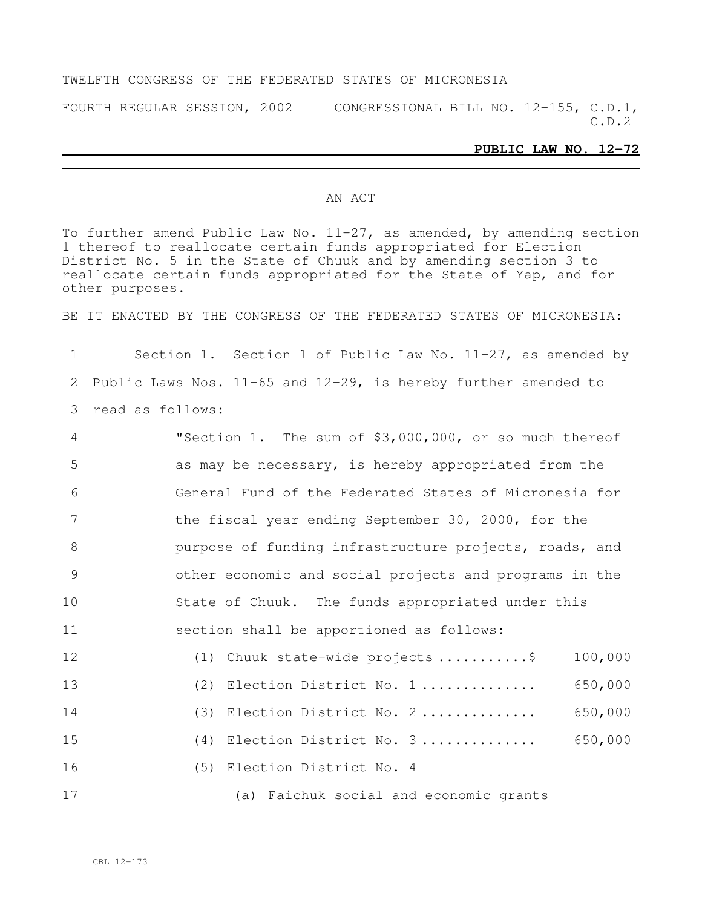#### TWELFTH CONGRESS OF THE FEDERATED STATES OF MICRONESIA

FOURTH REGULAR SESSION, 2002 CONGRESSIONAL BILL NO. 12-155, C.D.1, C.D.2

#### **PUBLIC LAW NO. 12-72**

#### AN ACT

To further amend Public Law No. 11-27, as amended, by amending section thereof to reallocate certain funds appropriated for Election District No. 5 in the State of Chuuk and by amending section 3 to reallocate certain funds appropriated for the State of Yap, and for other purposes.

BE IT ENACTED BY THE CONGRESS OF THE FEDERATED STATES OF MICRONESIA:

 Section 1. Section 1 of Public Law No. 11-27, as amended by Public Laws Nos. 11-65 and 12-29, is hereby further amended to read as follows:

| $\overline{4}$ | "Section 1. The sum of \$3,000,000, or so much thereof |         |
|----------------|--------------------------------------------------------|---------|
| 5              | as may be necessary, is hereby appropriated from the   |         |
| 6              | General Fund of the Federated States of Micronesia for |         |
| 7              | the fiscal year ending September 30, 2000, for the     |         |
| 8              | purpose of funding infrastructure projects, roads, and |         |
| 9              | other economic and social projects and programs in the |         |
| 10             | State of Chuuk. The funds appropriated under this      |         |
| 11             | section shall be apportioned as follows:               |         |
| 12             | (1) Chuuk state-wide projects \$                       | 100,000 |
| 13             | (2) Election District No. 1                            | 650,000 |
| 14             | (3) Election District No. 2                            | 650,000 |
| 15             | (4) Election District No. 3                            | 650,000 |

(5) Election District No. 4

(a) Faichuk social and economic grants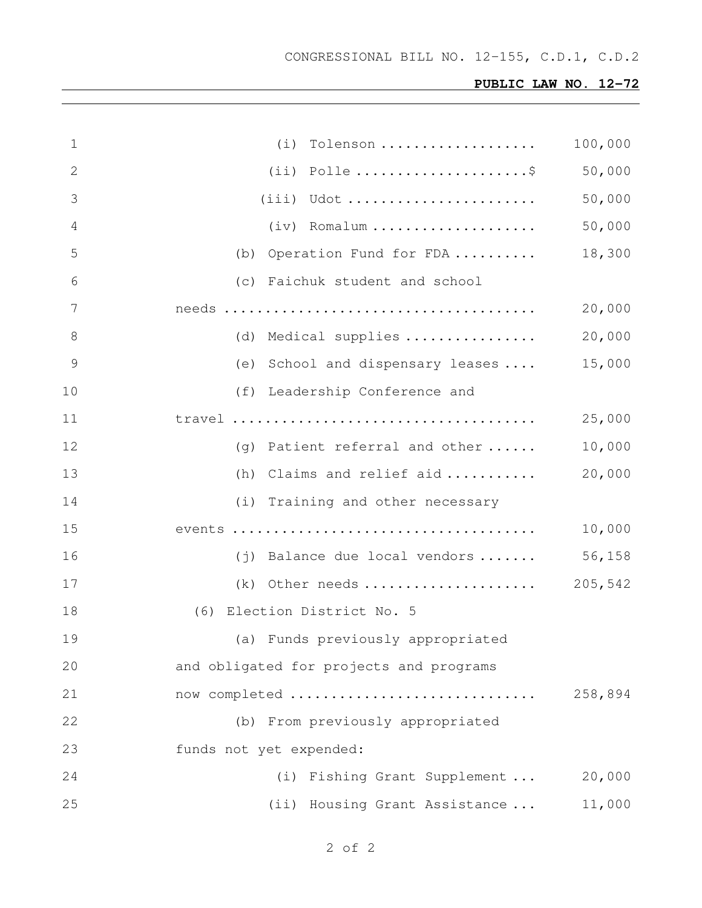# **PUBLIC LAW NO. 12-72**

| $\mathbf 1$    | Tolenson<br>(i)                                 | 100,000 |
|----------------|-------------------------------------------------|---------|
| 2              |                                                 | 50,000  |
| 3              | $(iii)$ Udot                                    | 50,000  |
| 4              | $(iv)$ Romalum                                  | 50,000  |
| 5              | (b) Operation Fund for FDA                      | 18,300  |
| 6              | (c) Faichuk student and school                  |         |
| 7              |                                                 | 20,000  |
| 8              | (d) Medical supplies                            | 20,000  |
| $\overline{9}$ | (e) School and dispensary leases                | 15,000  |
| 10             | (f) Leadership Conference and                   |         |
| 11             |                                                 | 25,000  |
| 12             | (q) Patient referral and other $\ldots$ .       | 10,000  |
| 13             | (h) Claims and relief aid                       | 20,000  |
| 14             | (i) Training and other necessary                |         |
| 15             |                                                 | 10,000  |
| 16             | $(j)$ Balance due local vendors $\ldots \ldots$ | 56,158  |
| 17             | (k) Other needs  205,542                        |         |
| 18             | (6) Election District No. 5                     |         |
| 19             | (a) Funds previously appropriated               |         |
| 20             | and obligated for projects and programs         |         |
| 21             | now completed                                   | 258,894 |
| 22             | (b) From previously appropriated                |         |
| 23             | funds not yet expended:                         |         |
| 24             | (i) Fishing Grant Supplement                    | 20,000  |
| 25             | (ii) Housing Grant Assistance                   | 11,000  |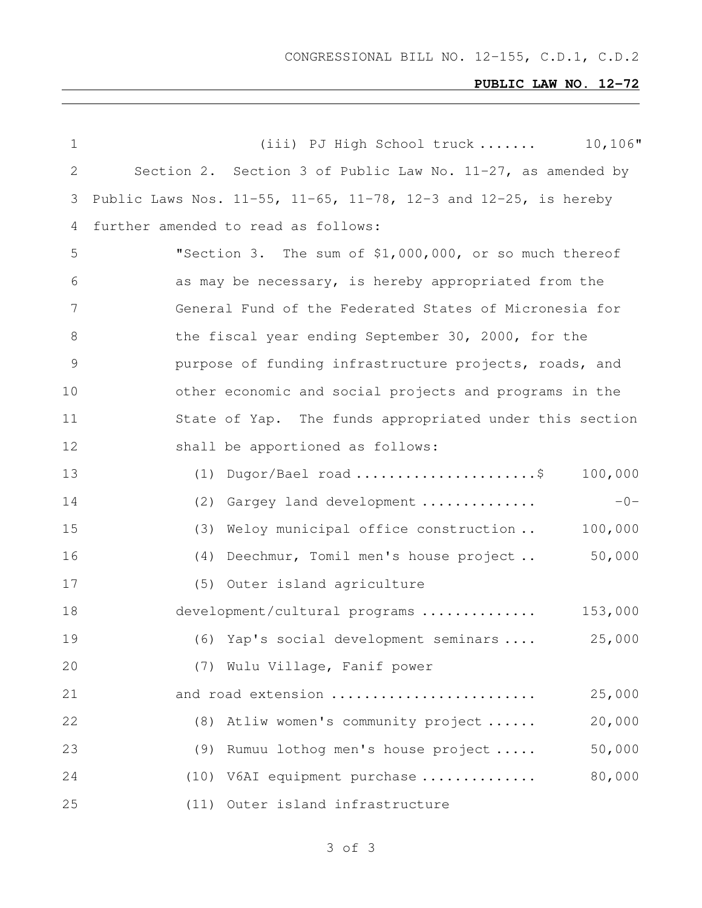CONGRESSIONAL BILL NO. 12-155, C.D.1, C.D.2

# **PUBLIC LAW NO. 12-72**

| $\mathbf 1$    | $10,106$ "<br>(iii) PJ High School truck                                      |
|----------------|-------------------------------------------------------------------------------|
| $\overline{2}$ | Section 2. Section 3 of Public Law No. $11-27$ , as amended by                |
| 3              | Public Laws Nos. $11-55$ , $11-65$ , $11-78$ , $12-3$ and $12-25$ , is hereby |
| 4              | further amended to read as follows:                                           |
| 5              | "Section 3. The sum of \$1,000,000, or so much thereof                        |
| 6              | as may be necessary, is hereby appropriated from the                          |
| 7              | General Fund of the Federated States of Micronesia for                        |
| 8              | the fiscal year ending September 30, 2000, for the                            |
| 9              | purpose of funding infrastructure projects, roads, and                        |
| 10             | other economic and social projects and programs in the                        |
| 11             | State of Yap. The funds appropriated under this section                       |
| 12             | shall be apportioned as follows:                                              |
| 13             | $(1)$ Dugor/Bael road \$<br>100,000                                           |
| 14             | $-0-$<br>(2) Gargey land development                                          |
| 15             | Weloy municipal office construction<br>100,000<br>(3)                         |
| 16             | 50,000<br>(4) Deechmur, Tomil men's house project                             |
| 17             | (5) Outer island agriculture                                                  |
| 18             | 153,000<br>development/cultural programs                                      |
| 19             | 25,000<br>(6) Yap's social development seminars                               |
| 20             | (7) Wulu Village, Fanif power                                                 |
| 21             | 25,000<br>and road extension                                                  |
| 22             | (8) Atliw women's community project<br>20,000                                 |
| 23             | 50,000<br>Rumuu lothog men's house project<br>(9)                             |
| 24             | 80,000<br>(10) V6AI equipment purchase                                        |
| 25             | (11) Outer island infrastructure                                              |

# of 3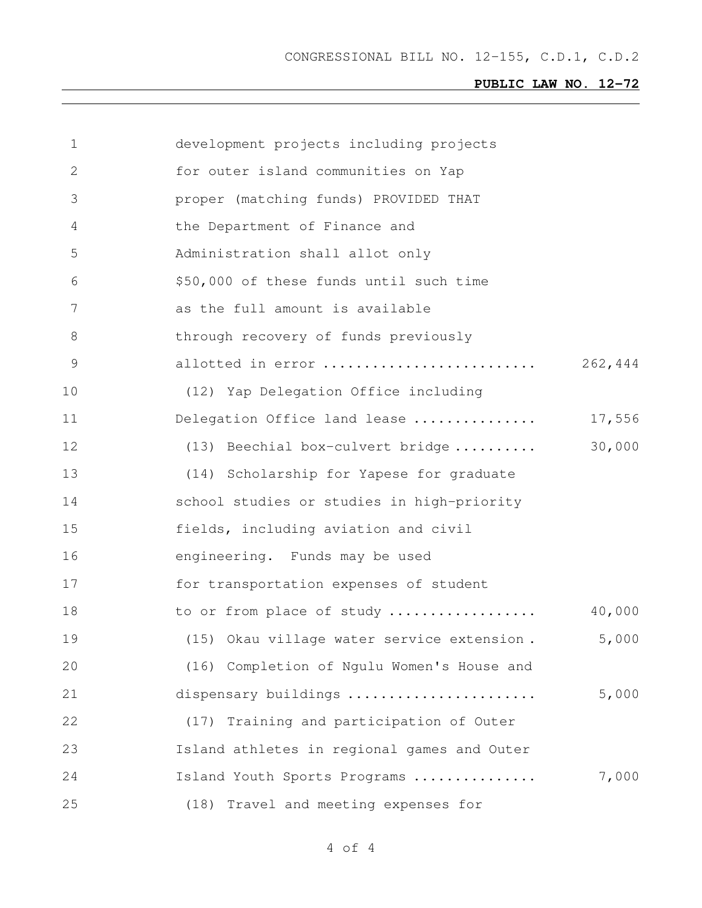CONGRESSIONAL BILL NO. 12-155, C.D.1, C.D.2

# **PUBLIC LAW NO. 12-72**

| 1  | development projects including projects     |         |
|----|---------------------------------------------|---------|
| 2  | for outer island communities on Yap         |         |
| 3  | proper (matching funds) PROVIDED THAT       |         |
| 4  | the Department of Finance and               |         |
| 5  | Administration shall allot only             |         |
| 6  | \$50,000 of these funds until such time     |         |
| 7  | as the full amount is available             |         |
| 8  | through recovery of funds previously        |         |
| 9  | allotted in error                           | 262,444 |
| 10 | (12) Yap Delegation Office including        |         |
| 11 | Delegation Office land lease                | 17,556  |
| 12 | (13) Beechial box-culvert bridge            | 30,000  |
| 13 | (14) Scholarship for Yapese for graduate    |         |
| 14 | school studies or studies in high-priority  |         |
| 15 | fields, including aviation and civil        |         |
| 16 | engineering. Funds may be used              |         |
| 17 | for transportation expenses of student      |         |
| 18 | to or from place of study                   | 40,000  |
| 19 | (15) Okau village water service extension.  | 5,000   |
| 20 | (16) Completion of Ngulu Women's House and  |         |
| 21 | dispensary buildings                        | 5,000   |
| 22 | (17) Training and participation of Outer    |         |
| 23 | Island athletes in regional games and Outer |         |
| 24 | Island Youth Sports Programs                | 7,000   |
| 25 | Travel and meeting expenses for<br>(18)     |         |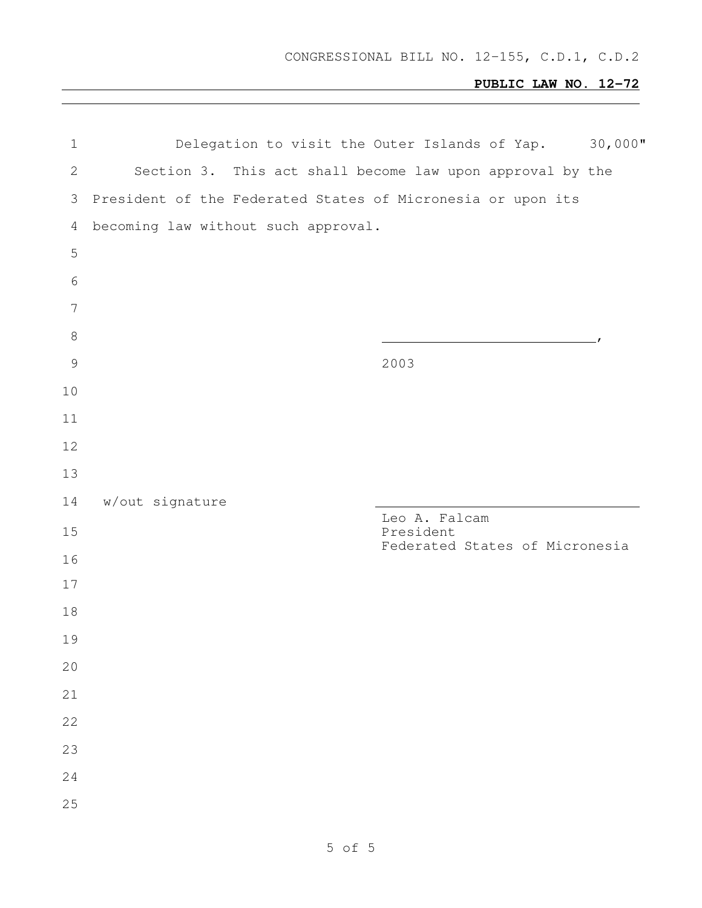# **PUBLIC LAW NO. 12-72**

| $\mathbf 1$    |                                     | $30,000$ "<br>Delegation to visit the Outer Islands of Yap. |
|----------------|-------------------------------------|-------------------------------------------------------------|
| $\mathbf{2}$   |                                     | Section 3. This act shall become law upon approval by the   |
| 3              |                                     | President of the Federated States of Micronesia or upon its |
| 4              | becoming law without such approval. |                                                             |
| 5              |                                     |                                                             |
| $\sqrt{6}$     |                                     |                                                             |
| $\overline{7}$ |                                     |                                                             |
| $\,8\,$        |                                     |                                                             |
| $\mathcal{G}$  |                                     | 2003                                                        |
| 10             |                                     |                                                             |
| 11             |                                     |                                                             |
| 12             |                                     |                                                             |
| 13             |                                     |                                                             |
| 14             | w/out signature                     | Leo A. Falcam                                               |
|                |                                     |                                                             |
| 15             |                                     | President                                                   |
| 16             |                                     | Federated States of Micronesia                              |
| 17             |                                     |                                                             |
| 18             |                                     |                                                             |
| 19             |                                     |                                                             |
| 20             |                                     |                                                             |
| 21             |                                     |                                                             |
| 22             |                                     |                                                             |
| 23             |                                     |                                                             |
| 24             |                                     |                                                             |